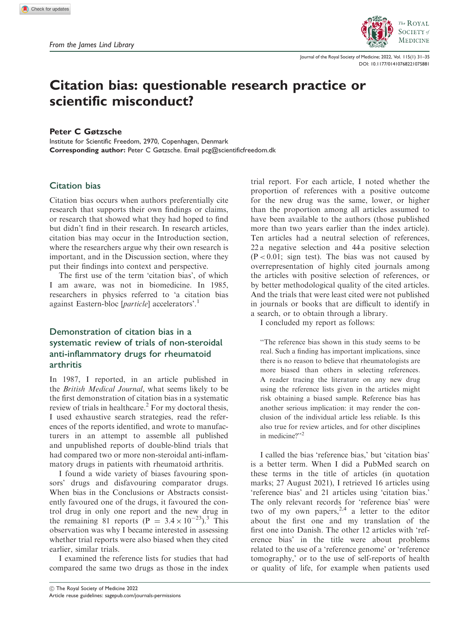

Journal of the Royal Society of Medicine; 2022, Vol. 115(1) 31–35 [DOI: 10.1177/01410768221075881](https://doi.org/10.1177/01410768221075881)

# Citation bias: questionable research practice or scientific misconduct?

#### Peter C Gøtzsche

Institute for Scientific Freedom, 2970, Copenhagen, Denmark Corresponding author: Peter C Gøtzsche. Email pcg@scientificfreedom.dk

## Citation bias

Citation bias occurs when authors preferentially cite research that supports their own findings or claims, or research that showed what they had hoped to find but didn't find in their research. In research articles, citation bias may occur in the Introduction section, where the researchers argue why their own research is important, and in the Discussion section, where they put their findings into context and perspective.

The first use of the term 'citation bias', of which I am aware, was not in biomedicine. In 1985, researchers in physics referred to 'a citation bias against Eastern-bloc [*particle*] accelerators'.<sup>1</sup>

# Demonstration of citation bias in a systematic review of trials of non-steroidal anti-inflammatory drugs for rheumatoid arthritis

In 1987, I reported, in an article published in the British Medical Journal, what seems likely to be the first demonstration of citation bias in a systematic review of trials in healthcare.<sup>2</sup> For my doctoral thesis, I used exhaustive search strategies, read the references of the reports identified, and wrote to manufacturers in an attempt to assemble all published and unpublished reports of double-blind trials that had compared two or more non-steroidal anti-inflammatory drugs in patients with rheumatoid arthritis.

I found a wide variety of biases favouring sponsors' drugs and disfavouring comparator drugs. When bias in the Conclusions or Abstracts consistently favoured one of the drugs, it favoured the control drug in only one report and the new drug in the remaining 81 reports  $(P = 3.4 \times 10^{-23})$ .<sup>3</sup> This observation was why I became interested in assessing whether trial reports were also biased when they cited earlier, similar trials.

I examined the reference lists for studies that had compared the same two drugs as those in the index proportion of references with a positive outcome for the new drug was the same, lower, or higher than the proportion among all articles assumed to have been available to the authors (those published more than two years earlier than the index article). Ten articles had a neutral selection of references, 22 a negative selection and 44 a positive selection  $(P < 0.01$ ; sign test). The bias was not caused by overrepresentation of highly cited journals among the articles with positive selection of references, or by better methodological quality of the cited articles. And the trials that were least cited were not published in journals or books that are difficult to identify in a search, or to obtain through a library. I concluded my report as follows: ''The reference bias shown in this study seems to be

trial report. For each article, I noted whether the

real. Such a finding has important implications, since there is no reason to believe that rheumatologists are more biased than others in selecting references. A reader tracing the literature on any new drug using the reference lists given in the articles might risk obtaining a biased sample. Reference bias has another serious implication: it may render the conclusion of the individual article less reliable. Is this also true for review articles, and for other disciplines in medicine?"<sup>2</sup>

I called the bias 'reference bias,' but 'citation bias' is a better term. When I did a PubMed search on these terms in the title of articles (in quotation marks; 27 August 2021), I retrieved 16 articles using 'reference bias' and 21 articles using 'citation bias.' The only relevant records for 'reference bias' were two of my own papers,  $2,4$  a letter to the editor about the first one and my translation of the first one into Danish. The other 12 articles with 'reference bias' in the title were about problems related to the use of a 'reference genome' or 'reference tomography,' or to the use of self-reports of health or quality of life, for example when patients used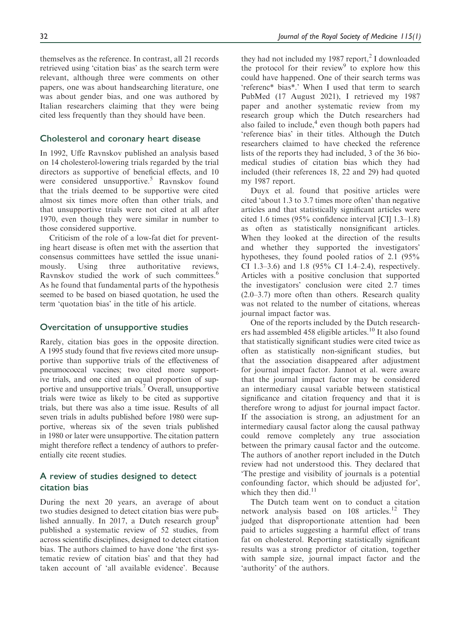themselves as the reference. In contrast, all 21 records retrieved using 'citation bias' as the search term were relevant, although three were comments on other papers, one was about handsearching literature, one was about gender bias, and one was authored by Italian researchers claiming that they were being cited less frequently than they should have been.

## Cholesterol and coronary heart disease

In 1992, Uffe Ravnskov published an analysis based on 14 cholesterol-lowering trials regarded by the trial directors as supportive of beneficial effects, and 10 were considered unsupportive.<sup>5</sup> Ravnskov found that the trials deemed to be supportive were cited almost six times more often than other trials, and that unsupportive trials were not cited at all after 1970, even though they were similar in number to those considered supportive.

Criticism of the role of a low-fat diet for preventing heart disease is often met with the assertion that consensus committees have settled the issue unanimously. Using three authoritative reviews, Ravnskov studied the work of such committees.<sup>6</sup> As he found that fundamental parts of the hypothesis seemed to be based on biased quotation, he used the term 'quotation bias' in the title of his article.

### Overcitation of unsupportive studies

Rarely, citation bias goes in the opposite direction. A 1995 study found that five reviews cited more unsupportive than supportive trials of the effectiveness of pneumococcal vaccines; two cited more supportive trials, and one cited an equal proportion of supportive and unsupportive trials.7 Overall, unsupportive trials were twice as likely to be cited as supportive trials, but there was also a time issue. Results of all seven trials in adults published before 1980 were supportive, whereas six of the seven trials published in 1980 or later were unsupportive. The citation pattern might therefore reflect a tendency of authors to preferentially cite recent studies.

## A review of studies designed to detect citation bias

During the next 20 years, an average of about two studies designed to detect citation bias were published annually. In 2017, a Dutch research group<sup>8</sup> published a systematic review of 52 studies, from across scientific disciplines, designed to detect citation bias. The authors claimed to have done 'the first systematic review of citation bias' and that they had taken account of 'all available evidence'. Because they had not included my 1987 report, $2$  I downloaded the protocol for their review $9$  to explore how this could have happened. One of their search terms was 'referenc\* bias\*.' When I used that term to search PubMed (17 August 2021), I retrieved my 1987 paper and another systematic review from my research group which the Dutch researchers had also failed to include, $4$  even though both papers had 'reference bias' in their titles. Although the Dutch researchers claimed to have checked the reference lists of the reports they had included, 3 of the 36 biomedical studies of citation bias which they had included (their references 18, 22 and 29) had quoted my 1987 report.

Duyx et al. found that positive articles were cited 'about 1.3 to 3.7 times more often' than negative articles and that statistically significant articles were cited 1.6 times (95% confidence interval [CI] 1.3–1.8) as often as statistically nonsignificant articles. When they looked at the direction of the results and whether they supported the investigators' hypotheses, they found pooled ratios of 2.1 (95% CI 1.3–3.6) and 1.8 (95% CI 1.4–2.4), respectively. Articles with a positive conclusion that supported the investigators' conclusion were cited 2.7 times (2.0–3.7) more often than others. Research quality was not related to the number of citations, whereas journal impact factor was.

One of the reports included by the Dutch researchers had assembled 458 eligible articles.<sup>10</sup> It also found that statistically significant studies were cited twice as often as statistically non-significant studies, but that the association disappeared after adjustment for journal impact factor. Jannot et al. were aware that the journal impact factor may be considered an intermediary causal variable between statistical significance and citation frequency and that it is therefore wrong to adjust for journal impact factor. If the association is strong, an adjustment for an intermediary causal factor along the causal pathway could remove completely any true association between the primary causal factor and the outcome. The authors of another report included in the Dutch review had not understood this. They declared that 'The prestige and visibility of journals is a potential confounding factor, which should be adjusted for', which they then did.<sup>11</sup>

The Dutch team went on to conduct a citation network analysis based on 108 articles.<sup>12</sup> They judged that disproportionate attention had been paid to articles suggesting a harmful effect of trans fat on cholesterol. Reporting statistically significant results was a strong predictor of citation, together with sample size, journal impact factor and the 'authority' of the authors.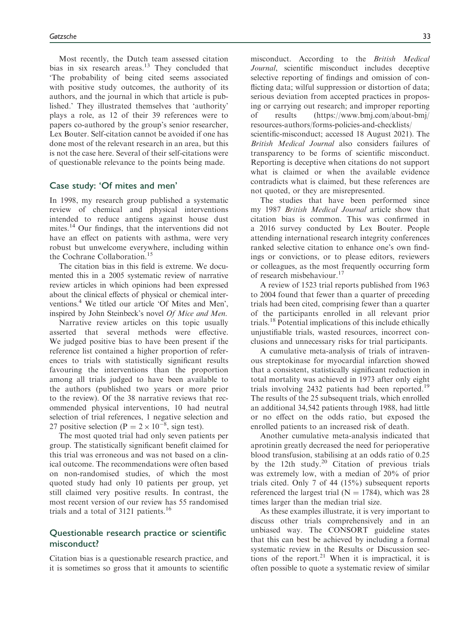Most recently, the Dutch team assessed citation bias in six research areas.<sup>13</sup> They concluded that 'The probability of being cited seems associated with positive study outcomes, the authority of its authors, and the journal in which that article is published.' They illustrated themselves that 'authority' plays a role, as 12 of their 39 references were to papers co-authored by the group's senior researcher, Lex Bouter. Self-citation cannot be avoided if one has done most of the relevant research in an area, but this is not the case here. Several of their self-citations were of questionable relevance to the points being made.

#### Case study: 'Of mites and men'

In 1998, my research group published a systematic review of chemical and physical interventions intended to reduce antigens against house dust mites.<sup>14</sup> Our findings, that the interventions did not have an effect on patients with asthma, were very robust but unwelcome everywhere, including within the Cochrane Collaboration.<sup>15</sup>

The citation bias in this field is extreme. We documented this in a 2005 systematic review of narrative review articles in which opinions had been expressed about the clinical effects of physical or chemical interventions.4 We titled our article 'Of Mites and Men', inspired by John Steinbeck's novel Of Mice and Men.

Narrative review articles on this topic usually asserted that several methods were effective. We judged positive bias to have been present if the reference list contained a higher proportion of references to trials with statistically significant results favouring the interventions than the proportion among all trials judged to have been available to the authors (published two years or more prior to the review). Of the 38 narrative reviews that recommended physical interventions, 10 had neutral selection of trial references, 1 negative selection and 27 positive selection (P =  $2 \times 10^{-8}$ , sign test).

The most quoted trial had only seven patients per group. The statistically significant benefit claimed for this trial was erroneous and was not based on a clinical outcome. The recommendations were often based on non-randomised studies, of which the most quoted study had only 10 patients per group, yet still claimed very positive results. In contrast, the most recent version of our review has 55 randomised trials and a total of 3121 patients.<sup>16</sup>

## Questionable research practice or scientific misconduct?

Citation bias is a questionable research practice, and it is sometimes so gross that it amounts to scientific misconduct. According to the British Medical Journal, scientific misconduct includes deceptive selective reporting of findings and omission of conflicting data; wilful suppression or distortion of data; serious deviation from accepted practices in proposing or carrying out research; and improper reporting of results [\(https://www.bmj.com/about-bmj/](https://www.bmj.com/about-bmj/resources-authors/forms-policies-and-checklists/scientific-misconduct) [resources-authors/forms-policies-and-checklists/](https://www.bmj.com/about-bmj/resources-authors/forms-policies-and-checklists/scientific-misconduct) [scientific-misconduct;](https://www.bmj.com/about-bmj/resources-authors/forms-policies-and-checklists/scientific-misconduct) accessed 18 August 2021). The British Medical Journal also considers failures of transparency to be forms of scientific misconduct. Reporting is deceptive when citations do not support what is claimed or when the available evidence contradicts what is claimed, but these references are not quoted, or they are misrepresented.

The studies that have been performed since my 1987 British Medical Journal article show that citation bias is common. This was confirmed in a 2016 survey conducted by Lex Bouter. People attending international research integrity conferences ranked selective citation to enhance one's own findings or convictions, or to please editors, reviewers or colleagues, as the most frequently occurring form of research misbehaviour.<sup>17</sup>

A review of 1523 trial reports published from 1963 to 2004 found that fewer than a quarter of preceding trials had been cited, comprising fewer than a quarter of the participants enrolled in all relevant prior trials.<sup>18</sup> Potential implications of this include ethically unjustifiable trials, wasted resources, incorrect conclusions and unnecessary risks for trial participants.

A cumulative meta-analysis of trials of intravenous streptokinase for myocardial infarction showed that a consistent, statistically significant reduction in total mortality was achieved in 1973 after only eight trials involving 2432 patients had been reported.<sup>19</sup> The results of the 25 subsequent trials, which enrolled an additional 34,542 patients through 1988, had little or no effect on the odds ratio, but exposed the enrolled patients to an increased risk of death.

Another cumulative meta-analysis indicated that aprotinin greatly decreased the need for perioperative blood transfusion, stabilising at an odds ratio of 0.25 by the 12th study.<sup>20</sup> Citation of previous trials was extremely low, with a median of 20% of prior trials cited. Only 7 of 44 (15%) subsequent reports referenced the largest trial ( $N = 1784$ ), which was 28 times larger than the median trial size.

As these examples illustrate, it is very important to discuss other trials comprehensively and in an unbiased way. The CONSORT guideline states that this can best be achieved by including a formal systematic review in the Results or Discussion sections of the report.<sup>21</sup> When it is impractical, it is often possible to quote a systematic review of similar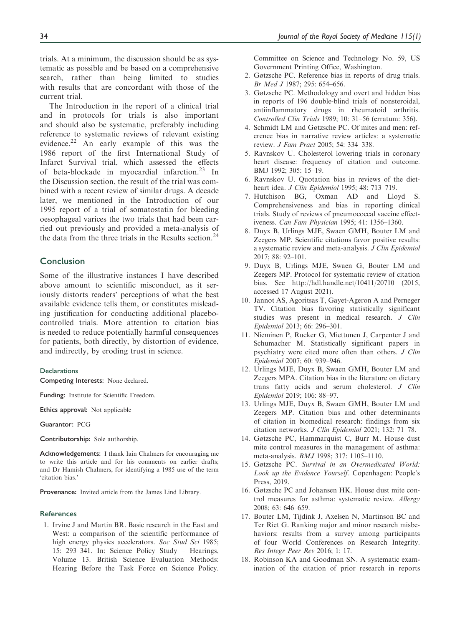trials. At a minimum, the discussion should be as systematic as possible and be based on a comprehensive search, rather than being limited to studies with results that are concordant with those of the current trial.

The Introduction in the report of a clinical trial and in protocols for trials is also important and should also be systematic, preferably including reference to systematic reviews of relevant existing evidence.<sup>22</sup> An early example of this was the 1986 report of the first International Study of Infarct Survival trial, which assessed the effects of beta-blockade in myocardial infarction.<sup>23</sup> In the Discussion section, the result of the trial was combined with a recent review of similar drugs. A decade later, we mentioned in the Introduction of our 1995 report of a trial of somatostatin for bleeding oesophageal varices the two trials that had been carried out previously and provided a meta-analysis of the data from the three trials in the Results section.<sup>24</sup>

## Conclusion

Some of the illustrative instances I have described above amount to scientific misconduct, as it seriously distorts readers' perceptions of what the best available evidence tells them, or constitutes misleading justification for conducting additional placebocontrolled trials. More attention to citation bias is needed to reduce potentially harmful consequences for patients, both directly, by distortion of evidence, and indirectly, by eroding trust in science.

#### **Declarations**

Competing Interests: None declared.

Funding: Institute for Scientific Freedom.

Ethics approval: Not applicable

Guarantor: PCG

Contributorship: Sole authorship.

Acknowledgements: I thank Iain Chalmers for encouraging me to write this article and for his comments on earlier drafts; and Dr Hamish Chalmers, for identifying a 1985 use of the term 'citation bias.'

Provenance: Invited article from the James Lind Library.

#### **References**

1. Irvine J and Martin BR. Basic research in the East and West: a comparison of the scientific performance of high energy physics accelerators. Soc Stud Sci 1985; 15: 293–341. In: Science Policy Study – Hearings, Volume 13. British Science Evaluation Methods: Hearing Before the Task Force on Science Policy. Committee on Science and Technology No. 59, US Government Printing Office, Washington.

- 2. Gøtzsche PC. Reference bias in reports of drug trials. Br Med J 1987; 295: 654–656.
- 3. Gøtzsche PC. Methodology and overt and hidden bias in reports of 196 double-blind trials of nonsteroidal, antiinflammatory drugs in rheumatoid arthritis. Controlled Clin Trials 1989; 10: 31–56 (erratum: 356).
- 4. Schmidt LM and Gøtzsche PC. Of mites and men: reference bias in narrative review articles: a systematic review. J Fam Pract 2005; 54: 334–338.
- 5. Ravnskov U. Cholesterol lowering trials in coronary heart disease: frequency of citation and outcome. BMJ 1992; 305: 15–19.
- 6. Ravnskov U. Quotation bias in reviews of the dietheart idea. J Clin Epidemiol 1995; 48: 713–719.
- 7. Hutchison BG, Oxman AD and Lloyd S. Comprehensiveness and bias in reporting clinical trials. Study of reviews of pneumococcal vaccine effectiveness. Can Fam Physician 1995; 41: 1356–1360.
- 8. Duyx B, Urlings MJE, Swaen GMH, Bouter LM and Zeegers MP. Scientific citations favor positive results: a systematic review and meta-analysis. J Clin Epidemiol 2017; 88: 92–101.
- 9. Duyx B, Urlings MJE, Swaen G, Bouter LM and Zeegers MP. Protocol for systematic review of citation bias. See<http://hdl.handle.net/10411/20710> (2015, accessed 17 August 2021).
- 10. Jannot AS, Agoritsas T, Gayet-Ageron A and Perneger TV. Citation bias favoring statistically significant studies was present in medical research. J Clin Epidemiol 2013; 66: 296–301.
- 11. Nieminen P, Rucker G, Miettunen J, Carpenter J and Schumacher M. Statistically significant papers in psychiatry were cited more often than others. J Clin Epidemiol 2007; 60: 939–946.
- 12. Urlings MJE, Duyx B, Swaen GMH, Bouter LM and Zeegers MPA. Citation bias in the literature on dietary trans fatty acids and serum cholesterol. J Clin Epidemiol 2019; 106: 88–97.
- 13. Urlings MJE, Duyx B, Swaen GMH, Bouter LM and Zeegers MP. Citation bias and other determinants of citation in biomedical research: findings from six citation networks. J Clin Epidemiol 2021; 132: 71–78.
- 14. Gøtzsche PC, Hammarquist C, Burr M. House dust mite control measures in the management of asthma: meta-analysis. BMJ 1998; 317: 1105–1110.
- 15. Gøtzsche PC. Survival in an Overmedicated World: Look up the Evidence Yourself. Copenhagen: People's Press, 2019.
- 16. Gøtzsche PC and Johansen HK. House dust mite control measures for asthma: systematic review. Allergy 2008; 63: 646–659.
- 17. Bouter LM, Tijdink J, Axelsen N, Martinson BC and Ter Riet G. Ranking major and minor research misbehaviors: results from a survey among participants of four World Conferences on Research Integrity. Res Integr Peer Rev 2016; 1: 17.
- 18. Robinson KA and Goodman SN. A systematic examination of the citation of prior research in reports